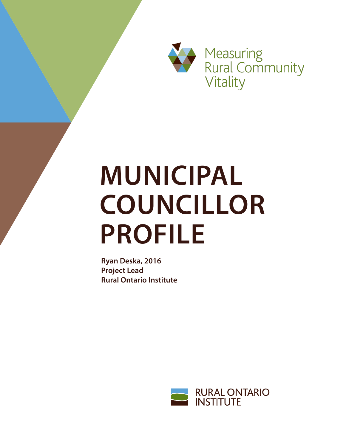

Measuring<br>
Rural Community<br>
Vitality

# **MUNICIPAL COUNCILLOR PROFILE**

**Ryan Deska, 2016 Project Lead Rural Ontario Institute**

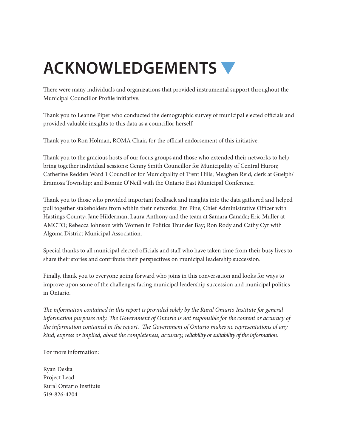## **ACKNOWLEDGEMENTS**

There were many individuals and organizations that provided instrumental support throughout the Municipal Councillor Profile initiative.

Thank you to Leanne Piper who conducted the demographic survey of municipal elected officials and provided valuable insights to this data as a councillor herself.

Thank you to Ron Holman, ROMA Chair, for the official endorsement of this initiative.

Thank you to the gracious hosts of our focus groups and those who extended their networks to help bring together individual sessions: Genny Smith Councillor for Municipality of Central Huron; Catherine Redden Ward 1 Councillor for Municipality of Trent Hills; Meaghen Reid, clerk at Guelph/ Eramosa Township; and Bonnie O'Neill with the Ontario East Municipal Conference.

Thank you to those who provided important feedback and insights into the data gathered and helped pull together stakeholders from within their networks: Jim Pine, Chief Administrative Officer with Hastings County; Jane Hilderman, Laura Anthony and the team at Samara Canada; Eric Muller at AMCTO; Rebecca Johnson with Women in Politics Thunder Bay; Ron Rody and Cathy Cyr with Algoma District Municipal Association.

Special thanks to all municipal elected officials and staff who have taken time from their busy lives to share their stories and contribute their perspectives on municipal leadership succession.

Finally, thank you to everyone going forward who joins in this conversation and looks for ways to improve upon some of the challenges facing municipal leadership succession and municipal politics in Ontario.

*The information contained in this report is provided solely by the Rural Ontario Institute for general information purposes only. The Government of Ontario is not responsible for the content or accuracy of the information contained in the report. The Government of Ontario makes no representations of any kind, express or implied, about the completeness, accuracy, reliability or suitability of the information.*

For more information:

Ryan Deska Project Lead Rural Ontario Institute 519-826-4204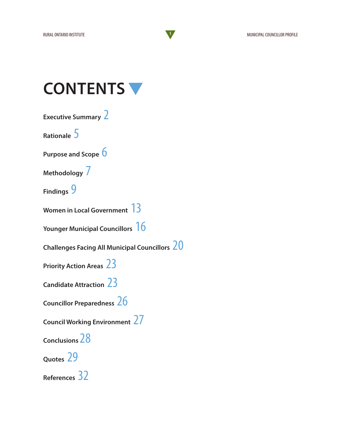### **CONTENTS**

**Executive Summary** 2

**Rationale** 5

**Purpose and Scope** 6

**Methodology** 7

**Findings** 9

**Women in Local Government** 13

**Younger Municipal Councillors** 16

**Challenges Facing All Municipal Councillors** 20

**Priority Action Areas** 23

**Candidate Attraction** 23

**Councillor Preparedness** 26

**Council Working Environment** 27

**Conclusions** 28

**Quotes** 29

**References** 32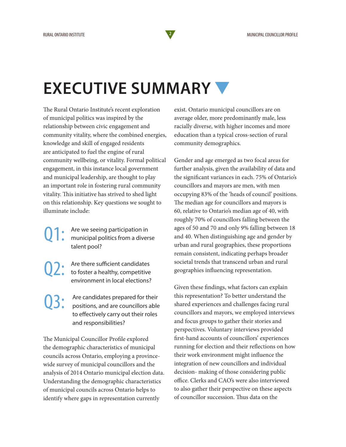### **EXECUTIVE SUMMARY**

The Rural Ontario Institute's recent exploration of municipal politics was inspired by the relationship between civic engagement and community vitality, where the combined energies, knowledge and skill of engaged residents are anticipated to fuel the engine of rural community wellbeing, or vitality. Formal political engagement, in this instance local government and municipal leadership, are thought to play an important role in fostering rural community vitality. This initiative has strived to shed light on this relationship. Key questions we sought to illuminate include:

Are we seeing participation in municipal politics from a diverse talent pool?

Q2: Are there sufficient candidates<br>to foster a healthy, competitive environment in local elections?

Are candidates prepared for their positions, and are councillors able to effectively carry out their roles and responsibilities?

The Municipal Councillor Profile explored the demographic characteristics of municipal councils across Ontario, employing a provincewide survey of municipal councillors and the analysis of 2014 Ontario municipal election data. Understanding the demographic characteristics of municipal councils across Ontario helps to identify where gaps in representation currently

exist. Ontario municipal councillors are on average older, more predominantly male, less racially diverse, with higher incomes and more education than a typical cross-section of rural community demographics.

Gender and age emerged as two focal areas for further analysis, given the availability of data and the significant variances in each. 75% of Ontario's councillors and mayors are men, with men occupying 83% of the 'heads of council' positions. The median age for councillors and mayors is 60, relative to Ontario's median age of 40, with roughly 70% of councillors falling between the ages of 50 and 70 and only 9% falling between 18 and 40. When distinguishing age and gender by urban and rural geographies, these proportions remain consistent, indicating perhaps broader societal trends that transcend urban and rural geographies influencing representation.

Given these findings, what factors can explain this representation? To better understand the shared experiences and challenges facing rural councillors and mayors, we employed interviews and focus groups to gather their stories and perspectives. Voluntary interviews provided first-hand accounts of councillors' experiences running for election and their reflections on how their work environment might influence the integration of new councillors and individual decision- making of those considering public office. Clerks and CAO's were also interviewed to also gather their perspective on these aspects of councillor succession. Thus data on the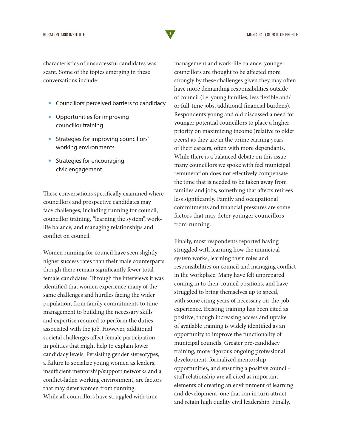characteristics of unsuccessful candidates was scant. Some of the topics emerging in these conversations include:

- Councillors' perceived barriers to candidacy
- Opportunities for improving councillor training
- Strategies for improving councillors' working environments
- Strategies for encouraging civic engagement.

These conversations specifically examined where councillors and prospective candidates may face challenges, including running for council, councillor training, "learning the system", worklife balance, and managing relationships and conflict on council.

Women running for council have seen slightly higher success rates than their male counterparts though there remain significantly fewer total female candidates. Through the interviews it was identified that women experience many of the same challenges and hurdles facing the wider population, from family commitments to time management to building the necessary skills and expertise required to perform the duties associated with the job. However, additional societal challenges affect female participation in politics that might help to explain lower candidacy levels. Persisting gender stereotypes, a failure to socialize young women as leaders, insufficient mentorship/support networks and a conflict-laden working environment, are factors that may deter women from running. While all councillors have struggled with time

management and work-life balance, younger councillors are thought to be affected more strongly by these challenges given they may often have more demanding responsibilities outside of council (i.e. young families, less flexible and/ or full-time jobs, additional financial burdens). Respondents young and old discussed a need for younger potential councillors to place a higher priority on maximizing income (relative to older peers) as they are in the prime earning years of their careers, often with more dependants. While there is a balanced debate on this issue, many councillors we spoke with feel municipal remuneration does not effectively compensate the time that is needed to be taken away from families and jobs, something that affects retirees less significantly. Family and occupational commitments and financial pressures are some factors that may deter younger councillors from running.

Finally, most respondents reported having struggled with learning how the municipal system works, learning their roles and responsibilities on council and managing conflict in the workplace. Many have felt unprepared coming in to their council positions, and have struggled to bring themselves up to speed, with some citing years of necessary on-the-job experience. Existing training has been cited as positive, though increasing access and uptake of available training is widely identified as an opportunity to improve the functionality of municipal councils. Greater pre-candidacy training, more rigorous ongoing professional development, formalized mentorship opportunities, and ensuring a positive councilstaff relationship are all cited as important elements of creating an environment of learning and development, one that can in turn attract and retain high quality civil leadership. Finally,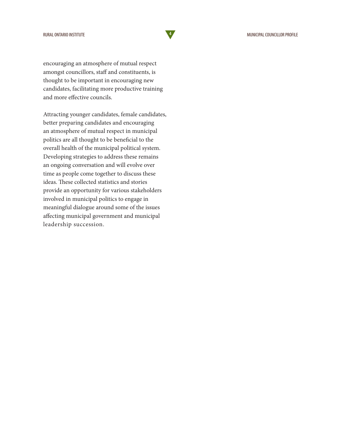and more effective councils.

encouraging an atmosphere of mutual respect amongst councillors, staff and constituents, is thought to be important in encouraging new candidates, facilitating more productive training

Attracting younger candidates, female candidates, better preparing candidates and encouraging an atmosphere of mutual respect in municipal politics are all thought to be beneficial to the overall health of the municipal political system. Developing strategies to address these remains an ongoing conversation and will evolve over time as people come together to discuss these ideas. These collected statistics and stories provide an opportunity for various stakeholders involved in municipal politics to engage in meaningful dialogue around some of the issues affecting municipal government and municipal leadership succession.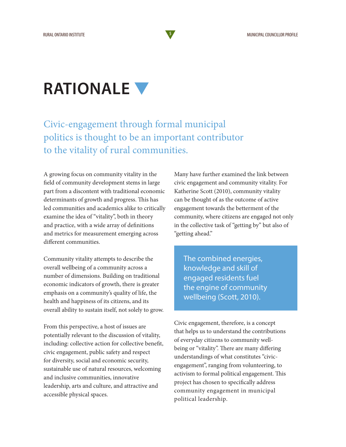### **RATIONALE**

#### Civic-engagement through formal municipal politics is thought to be an important contributor to the vitality of rural communities.

A growing focus on community vitality in the field of community development stems in large part from a discontent with traditional economic determinants of growth and progress. This has led communities and academics alike to critically examine the idea of "vitality", both in theory and practice, with a wide array of definitions and metrics for measurement emerging across different communities.

Community vitality attempts to describe the overall wellbeing of a community across a number of dimensions. Building on traditional economic indicators of growth, there is greater emphasis on a community's quality of life, the health and happiness of its citizens, and its overall ability to sustain itself, not solely to grow.

From this perspective, a host of issues are potentially relevant to the discussion of vitality, including: collective action for collective benefit, civic engagement, public safety and respect for diversity, social and economic security, sustainable use of natural resources, welcoming and inclusive communities, innovative leadership, arts and culture, and attractive and accessible physical spaces.

Many have further examined the link between civic engagement and community vitality. For Katherine Scott (2010), community vitality can be thought of as the outcome of active engagement towards the betterment of the community, where citizens are engaged not only in the collective task of "getting by" but also of "getting ahead."

The combined energies, knowledge and skill of engaged residents fuel the engine of community wellbeing (Scott, 2010).

Civic engagement, therefore, is a concept that helps us to understand the contributions of everyday citizens to community wellbeing or "vitality". There are many differing understandings of what constitutes "civicengagement", ranging from volunteering, to activism to formal political engagement. This project has chosen to specifically address community engagement in municipal political leadership.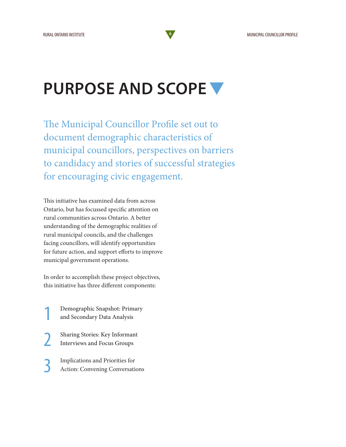### **PURPOSE AND SCOPE**

The Municipal Councillor Profile set out to document demographic characteristics of municipal councillors, perspectives on barriers to candidacy and stories of successful strategies for encouraging civic engagement.

This initiative has examined data from across Ontario, but has focussed specific attention on rural communities across Ontario. A better understanding of the demographic realities of rural municipal councils, and the challenges facing councillors, will identify opportunities for future action, and support efforts to improve municipal government operations.

In order to accomplish these project objectives, this initiative has three different components:

1 Demographic Snapshot: Primary and Secondary Data Analysis

2 Sharing Stories: Key Informant Interviews and Focus Groups

3 Implications and Priorities for Action: Convening Conversations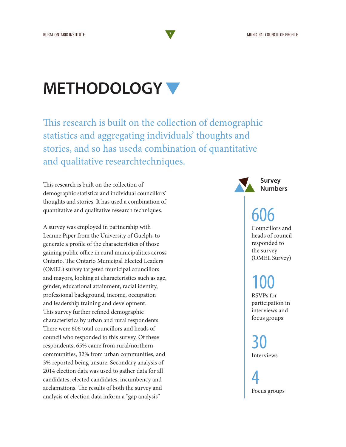### **METHODOLOGY**

This research is built on the collection of demographic statistics and aggregating individuals' thoughts and stories, and so has useda combination of quantitative and qualitative researchtechniques.

This research is built on the collection of demographic statistics and individual councillors' thoughts and stories. It has used a combination of quantitative and qualitative research techniques.

A survey was employed in partnership with Leanne Piper from the University of Guelph, to generate a profile of the characteristics of those gaining public office in rural municipalities across Ontario. The Ontario Municipal Elected Leaders (OMEL) survey targeted municipal councillors and mayors, looking at characteristics such as age, gender, educational attainment, racial identity, professional background, income, occupation and leadership training and development. This survey further refined demographic characteristics by urban and rural respondents. There were 606 total councillors and heads of council who responded to this survey. Of these respondents, 65% came from rural/northern communities, 32% from urban communities, and 3% reported being unsure. Secondary analysis of 2014 election data was used to gather data for all candidates, elected candidates, incumbency and acclamations. The results of both the survey and analysis of election data inform a "gap analysis"

**Survey Numbers**

### 606

Councillors and heads of council responded to the survey (OMEL Survey)

## 100

RSVPs for participation in interviews and focus groups

30 Interviews

4 Focus groups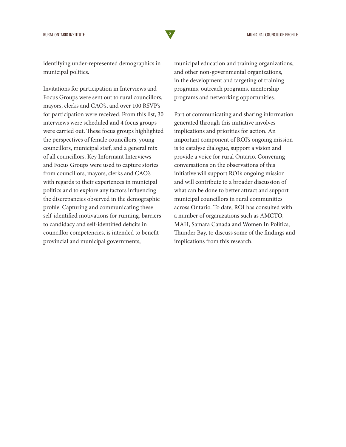identifying under-represented demographics in municipal politics.

Invitations for participation in Interviews and Focus Groups were sent out to rural councillors, mayors, clerks and CAO's, and over 100 RSVP's for participation were received. From this list, 30 interviews were scheduled and 4 focus groups were carried out. These focus groups highlighted the perspectives of female councillors, young councillors, municipal staff, and a general mix of all councillors. Key Informant Interviews and Focus Groups were used to capture stories from councillors, mayors, clerks and CAO's with regards to their experiences in municipal politics and to explore any factors influencing the discrepancies observed in the demographic profile. Capturing and communicating these self-identified motivations for running, barriers to candidacy and self-identified deficits in councillor competencies, is intended to benefit provincial and municipal governments,

municipal education and training organizations, and other non-governmental organizations, in the development and targeting of training programs, outreach programs, mentorship programs and networking opportunities.

Part of communicating and sharing information generated through this initiative involves implications and priorities for action. An important component of ROI's ongoing mission is to catalyse dialogue, support a vision and provide a voice for rural Ontario. Convening conversations on the observations of this initiative will support ROI's ongoing mission and will contribute to a broader discussion of what can be done to better attract and support municipal councillors in rural communities across Ontario. To date, ROI has consulted with a number of organizations such as AMCTO, MAH, Samara Canada and Women In Politics, Thunder Bay, to discuss some of the findings and implications from this research.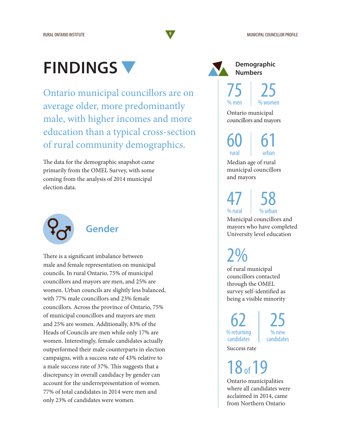### **FINDINGS**

Ontario municipal councillors are on average older, more predominantly male, with higher incomes and more education than a typical cross-section of rural community demographics.

The data for the demographic snapshot came primarily from the OMEL Survey, with some coming from the analysis of 2014 municipal election data.



#### **Gender**

There is a significant imbalance between male and female representation on municipal councils. In rural Ontario, 75% of municipal councillors and mayors are men, and 25% are women. Urban councils are slightly less balanced, with 77% male councillors and 23% female councillors. Across the province of Ontario, 75% of municipal councillors and mayors are men and 25% are women. Additionally, 83% of the Heads of Councils are men while only 17% are women. Interestingly, female candidates actually outperformed their male counterparts in election campaigns, with a success rate of 43% relative to a male success rate of 37%. This suggests that a discrepancy in overall candidacy by gender can account for the underrepresentation of women. 77% of total candidates in 2014 were men and only 23% of candidates were women.



75 % men 25 % women

Ontario municipal councillors and mayors

61 60 rural

Median age of rural municipal councillors and mayors

urban

47 % rural 58

% urban

Municipal councillors and mayors who have completed University level education

2%

of rural municipal councillors contacted through the OMEL survey self-identified as being a visible minority

62 % returning candidates

25 % new candidates

Success rate

18 of 19

Ontario municipalities where all candidates were acclaimed in 2014, came from Northern Ontario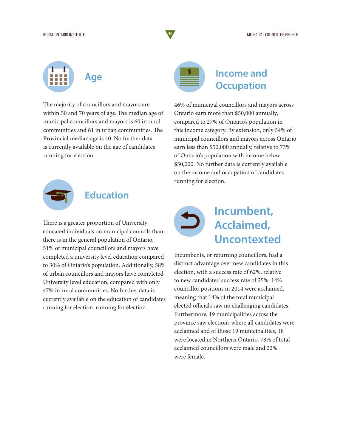

The majority of councillors and mayors are within 50 and 70 years of age. The median age of municipal councillors and mayors is 60 in rural communities and 61 in urban communities. The Provincial median age is 40. No further data is currently available on the age of candidates running for election.



#### **Education**

There is a greater proportion of University educated individuals on municipal councils than there is in the general population of Ontario. 51% of municipal councillors and mayors have completed a university level education compared to 30% of Ontario's population. Additionally, 58% of urban councillors and mayors have completed University level education, compared with only 47% in rural communities. No further data is currently available on the education of candidates running for election. running for election.

| <b>Service Service</b> | $\mathcal{L}^{\text{max}}_{\text{max}}$ and $\mathcal{L}^{\text{max}}_{\text{max}}$ and $\mathcal{L}^{\text{max}}_{\text{max}}$ and $\mathcal{L}^{\text{max}}_{\text{max}}$ | $\mathcal{L}(\mathcal{L})$ and $\mathcal{L}(\mathcal{L})$ and $\mathcal{L}(\mathcal{L})$ and $\mathcal{L}(\mathcal{L})$ |  |
|------------------------|-----------------------------------------------------------------------------------------------------------------------------------------------------------------------------|-------------------------------------------------------------------------------------------------------------------------|--|
|                        |                                                                                                                                                                             |                                                                                                                         |  |

#### **Income and Occupation**

46% of municipal councillors and mayors across Ontario earn more than \$50,000 annually, compared to 27% of Ontario's population in this income category. By extension, only 54% of municipal councillors and mayors across Ontario earn less than \$50,000 annually, relative to 73% of Ontario's population with income below \$50,000. No further data is currently available on the income and occupation of candidates running for election.



### **Incumbent, Acclaimed, Uncontexted**

Incumbents, or returning councillors, had a distinct advantage over new candidates in this election, with a success rate of 62%, relative to new candidates' success rate of 25%. 14% councillor positions in 2014 were acclaimed, meaning that 14% of the total municipal elected officials saw no challenging candidates. Furthermore, 19 municipalities across the province saw elections where all candidates were acclaimed and of those 19 municipalities, 18 were located in Northern Ontario. 78% of total acclaimed councillors were male and 22% were female.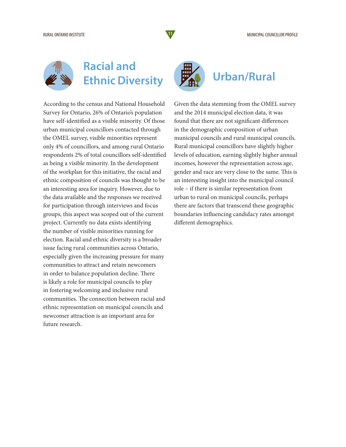

### **Racial and Ethnic Diversity Urban/Rural**

According to the census and National Household Survey for Ontario, 26% of Ontario's population have self-identified as a visible minority. Of those urban municipal councillors contacted through the OMEL survey, visible minorities represent only 4% of councillors, and among rural Ontario respondents 2% of total councillors self-identified as being a visible minority. In the development of the workplan for this initiative, the racial and ethnic composition of councils was thought to be an interesting area for inquiry. However, due to the data available and the responses we received for participation through interviews and focus groups, this aspect was scoped out of the current project. Currently no data exists identifying the number of visible minorities running for election. Racial and ethnic diversity is a broader issue facing rural communities across Ontario, especially given the increasing pressure for many communities to attract and retain newcomers in order to balance population decline. There is likely a role for municipal councils to play in fostering welcoming and inclusive rural communities. The connection between racial and ethnic representation on municipal councils and newcomer attraction is an important area for future research.



Given the data stemming from the OMEL survey and the 2014 municipal election data, it was found that there are not significant differences in the demographic composition of urban municipal councils and rural municipal councils. Rural municipal councillors have slightly higher levels of education, earning slightly higher annual incomes, however the representation across age, gender and race are very close to the same. This is an interesting insight into the municipal council role – if there is similar representation from urban to rural on municipal councils, perhaps there are factors that transcend these geographic boundaries influencing candidacy rates amongst different demographics.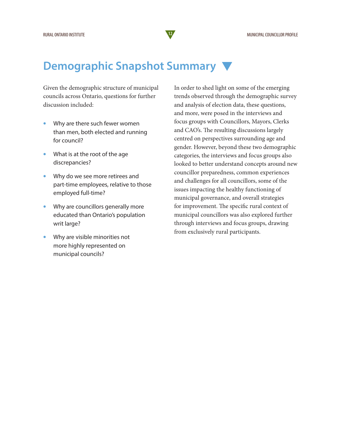#### **Demographic Snapshot Summary**

Given the demographic structure of municipal councils across Ontario, questions for further discussion included:

- Why are there such fewer women than men, both elected and running for council?
- What is at the root of the age discrepancies?
- Why do we see more retirees and part-time employees, relative to those employed full-time?
- Why are councillors generally more educated than Ontario's population writ large?
- Why are visible minorities not more highly represented on municipal councils?

In order to shed light on some of the emerging trends observed through the demographic survey and analysis of election data, these questions, and more, were posed in the interviews and focus groups with Councillors, Mayors, Clerks and CAO's. The resulting discussions largely centred on perspectives surrounding age and gender. However, beyond these two demographic categories, the interviews and focus groups also looked to better understand concepts around new councillor preparedness, common experiences and challenges for all councillors, some of the issues impacting the healthy functioning of municipal governance, and overall strategies for improvement. The specific rural context of municipal councillors was also explored further through interviews and focus groups, drawing from exclusively rural participants.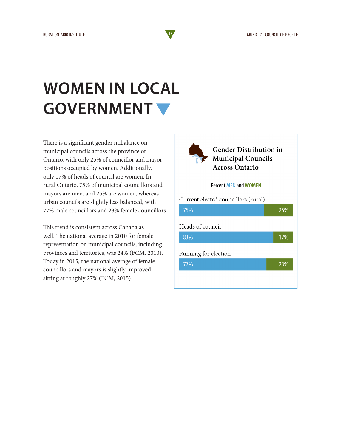### **WOMEN IN LOCAL GOVERNMENT**

There is a significant gender imbalance on municipal councils across the province of Ontario, with only 25% of councillor and mayor positions occupied by women. Additionally, only 17% of heads of council are women. In rural Ontario, 75% of municipal councillors and mayors are men, and 25% are women, whereas urban councils are slightly less balanced, with 77% male councillors and 23% female councillors

This trend is consistent across Canada as well. The national average in 2010 for female representation on municipal councils, including provinces and territories, was 24% (FCM, 2010). Today in 2015, the national average of female councillors and mayors is slightly improved, sitting at roughly 27% (FCM, 2015).



**Gender Distribution in Municipal Councils Across Ontario** 

#### **Percent MEN and WOMEN**

Current elected councillors (rural) 75% 25% Heads of council 83% 17% Running for election 77% 23%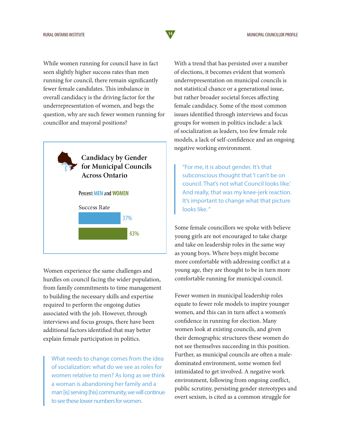While women running for council have in fact seen slightly higher success rates than men running for council, there remain significantly fewer female candidates. This imbalance in overall candidacy is the driving factor for the underrepresentation of women, and begs the question, why are such fewer women running for councillor and mayoral positions?



Women experience the same challenges and hurdles on council facing the wider population, from family commitments to time management to building the necessary skills and expertise required to perform the ongoing duties associated with the job. However, through interviews and focus groups, there have been additional factors identified that may better explain female participation in politics.

What needs to change comes from the idea of socialization: what do we see as roles for women relative to men? As long as we think a woman is abandoning her family and a man [is] serving [his] community, we will continue to see these lower numbers for women.

With a trend that has persisted over a number of elections, it becomes evident that women's underrepresentation on municipal councils is not statistical chance or a generational issue, but rather broader societal forces affecting female candidacy. Some of the most common issues identified through interviews and focus groups for women in politics include: a lack of socialization as leaders, too few female role models, a lack of self-confidence and an ongoing negative working environment.

"For me, it is about gender. It's that subconscious thought that 'I can't be on council. That's not what Council looks like.' And really, that was my knee-jerk reaction. It's important to change what that picture looks like. "

Some female councillors we spoke with believe young girls are not encouraged to take charge and take on leadership roles in the same way as young boys. Where boys might become more comfortable with addressing conflict at a young age, they are thought to be in turn more comfortable running for municipal council.

Fewer women in municipal leadership roles equate to fewer role models to inspire younger women, and this can in turn affect a women's confidence in running for election. Many women look at existing councils, and given their demographic structures these women do not see themselves succeeding in this position. Further, as municipal councils are often a maledominated environment, some women feel intimidated to get involved. A negative work environment, following from ongoing conflict, public scrutiny, persisting gender stereotypes and overt sexism, is cited as a common struggle for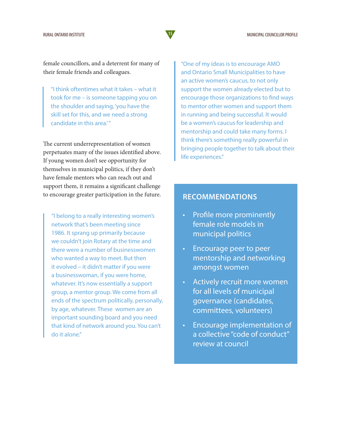female councillors, and a deterrent for many of their female friends and colleagues.

"I think oftentimes what it takes – what it took for me – is someone tapping you on the shoulder and saying, 'you have the skill set for this, and we need a strong candidate in this area.'"

The current underrepresentation of women perpetuates many of the issues identified above. If young women don't see opportunity for themselves in municipal politics, if they don't have female mentors who can reach out and support them, it remains a significant challenge to encourage greater participation in the future.

"I belong to a really interesting women's network that's been meeting since 1986. It sprang up primarily because we couldn't join Rotary at the time and there were a number of businesswomen who wanted a way to meet. But then it evolved – it didn't matter if you were a businesswoman, if you were home, whatever. It's now essentially a support group, a mentor group. We come from all ends of the spectrum politically, personally, by age, whatever. These women are an important sounding board and you need that kind of network around you. You can't do it alone."

"One of my ideas is to encourage AMO and Ontario Small Municipalities to have an active women's caucus, to not only support the women already elected but to encourage those organizations to find ways to mentor other women and support them in running and being successful. It would be a women's caucus for leadership and mentorship and could take many forms. I think there's something really powerful in bringing people together to talk about their life experiences."

#### **RECOMMENDATIONS**

- Profile more prominently female role models in municipal politics
- Encourage peer to peer mentorship and networking amongst women
- Actively recruit more women for all levels of municipal governance (candidates, committees, volunteers)
- Encourage implementation of a collective "code of conduct" review at council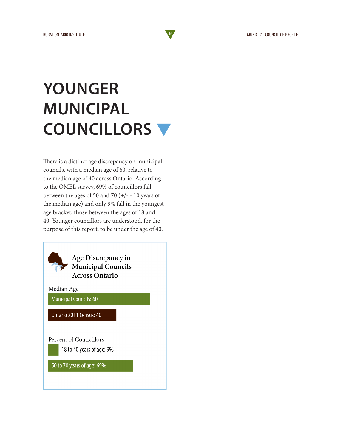## **YOUNGER MUNICIPAL COUNCILLORS**

There is a distinct age discrepancy on municipal councils, with a median age of 60, relative to the median age of 40 across Ontario. According to the OMEL survey, 69% of councillors fall between the ages of 50 and 70 (+/- ‐ 10 years of the median age) and only 9% fall in the youngest age bracket, those between the ages of 18 and 40. Younger councillors are understood, for the purpose of this report, to be under the age of 40.

> Age Discrepancy in **Municipal Councils Across Ontario**

Median Age **Municipal Councils: 60** 

Ontario 2011 Census: 40

Percent of Councillors 18 to 40 years of age: 9%

50 to 70 years of age: 69%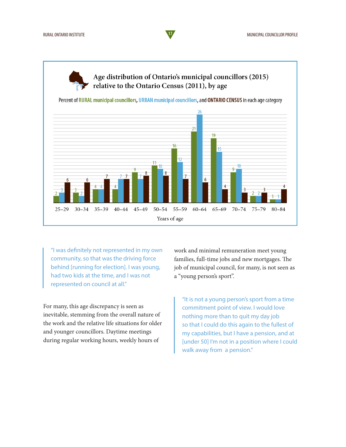Age distribution of Ontario's municipal councillors (2015) relative to the Ontario Census (2011), by age

Percent of RURAL municipal councillors, URBAN municipal councillors, and ONTARIO CENSUS in each age category



"I was definitely not represented in my own community, so that was the driving force behind [running for election]. I was young, had two kids at the time, and I was not represented on council at all."

For many, this age discrepancy is seen as inevitable, stemming from the overall nature of the work and the relative life situations for older and younger councillors. Daytime meetings during regular working hours, weekly hours of

work and minimal remuneration meet young families, full-time jobs and new mortgages. The job of municipal council, for many, is not seen as a "young person's sport".

"It is not a young person's sport from a time commitment point of view. I would love nothing more than to quit my day job so that I could do this again to the fullest of my capabilities, but I have a pension, and at [under 50] I'm not in a position where I could walk away from a pension."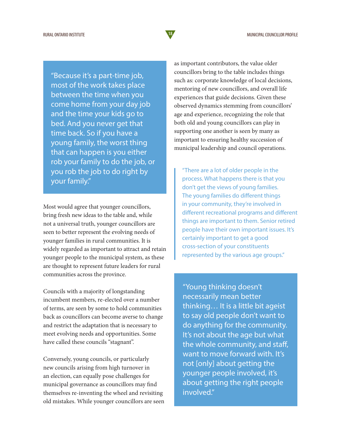"Because it's a part-time job, most of the work takes place between the time when you come home from your day job and the time your kids go to bed. And you never get that time back. So if you have a young family, the worst thing that can happen is you either rob your family to do the job, or you rob the job to do right by your family."

Most would agree that younger councillors, bring fresh new ideas to the table and, while not a universal truth, younger councillors are seen to better represent the evolving needs of younger families in rural communities. It is widely regarded as important to attract and retain younger people to the municipal system, as these are thought to represent future leaders for rural communities across the province.

Councils with a majority of longstanding incumbent members, re-elected over a number of terms, are seen by some to hold communities back as councillors can become averse to change and restrict the adaptation that is necessary to meet evolving needs and opportunities. Some have called these councils "stagnant".

Conversely, young councils, or particularly new councils arising from high turnover in an election, can equally pose challenges for municipal governance as councillors may find themselves re-inventing the wheel and revisiting old mistakes. While younger councillors are seen as important contributors, the value older councillors bring to the table includes things such as: corporate knowledge of local decisions, mentoring of new councillors, and overall life experiences that guide decisions. Given these observed dynamics stemming from councillors' age and experience, recognizing the role that both old and young councillors can play in supporting one another is seen by many as important to ensuring healthy succession of municipal leadership and council operations.

"There are a lot of older people in the process. What happens there is that you don't get the views of young families. The young families do different things in your community, they're involved in different recreational programs and different things are important to them. Senior retired people have their own important issues. It's certainly important to get a good cross-section of your constituents represented by the various age groups."

"Young thinking doesn't necessarily mean better thinking… It is a little bit ageist to say old people don't want to do anything for the community. It's not about the age but what the whole community, and staff, want to move forward with. It's not [only] about getting the younger people involved, it's about getting the right people involved."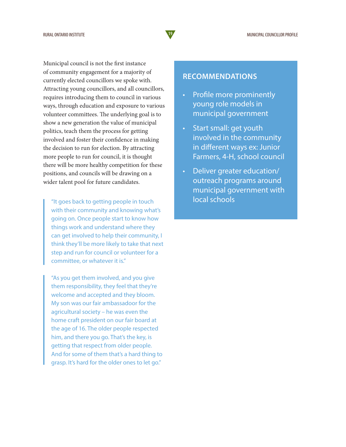Municipal council is not the first instance of community engagement for a majority of currently elected councillors we spoke with. Attracting young councillors, and all councillors, requires introducing them to council in various ways, through education and exposure to various volunteer committees. The underlying goal is to show a new generation the value of municipal politics, teach them the process for getting involved and foster their confidence in making the decision to run for election. By attracting more people to run for council, it is thought there will be more healthy competition for these positions, and councils will be drawing on a wider talent pool for future candidates.

"It goes back to getting people in touch with their community and knowing what's going on. Once people start to know how things work and understand where they can get involved to help their community, I think they'll be more likely to take that next step and run for council or volunteer for a committee, or whatever it is."

"As you get them involved, and you give them responsibility, they feel that they're welcome and accepted and they bloom. My son was our fair ambassadoor for the agricultural society – he was even the home craft president on our fair board at the age of 16. The older people respected him, and there you go. That's the key, is getting that respect from older people. And for some of them that's a hard thing to grasp. It's hard for the older ones to let go."

#### **RECOMMENDATIONS**

- Profile more prominently young role models in municipal government
- Start small: get youth involved in the community in different ways ex: Junior Farmers, 4-H, school council
- Deliver greater education/ outreach programs around municipal government with local schools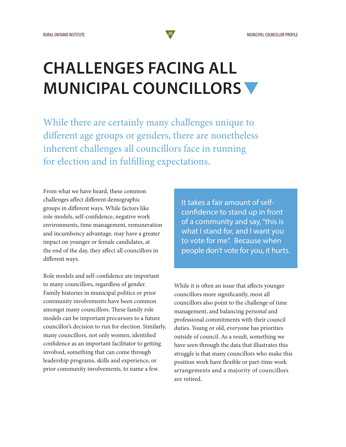### **CHALLENGES FACING ALL MUNICIPAL COUNCILLORS**

While there are certainly many challenges unique to different age groups or genders, there are nonetheless inherent challenges all councillors face in running for election and in fulfilling expectations.

From what we have heard, these common challenges affect different demographic groups in different ways. While factors like role models, self-confidence, negative work environments, time management, remuneration and incumbency advantage, may have a greater impact on younger or female candidates, at the end of the day, they affect all councillors in different ways.

Role models and self-confidence are important to many councillors, regardless of gender. Family histories in municipal politics or prior community involvements have been common amongst many councillors. These family role models can be important precursors to a future councillor's decision to run for election. Similarly, many councillors, not only women, identified confidence as an important facilitator to getting involved, something that can come through leadership programs, skills and experience, or prior community involvements, to name a few.

It takes a fair amount of selfconfidence to stand up in front of a community and say, "this is what I stand for, and I want you to vote for me". Because when people don't vote for you, it hurts.

While it is often an issue that affects younger councillors more significantly, most all councillors also point to the challenge of time management, and balancing personal and professional commitments with their council duties. Young or old, everyone has priorities outside of council. As a result, something we have seen through the data that illustrates this struggle is that many councillors who make this position work have flexible or part-time work arrangements and a majority of councillors are retired.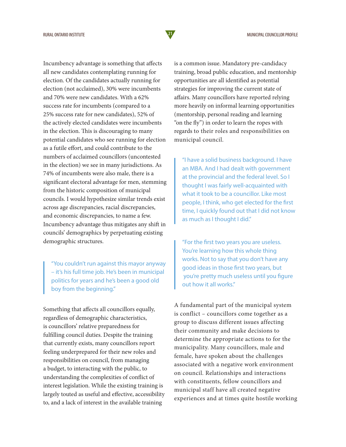Incumbency advantage is something that affects all new candidates contemplating running for election. Of the candidates actually running for election (not acclaimed), 30% were incumbents and 70% were new candidates. With a 62% success rate for incumbents (compared to a 25% success rate for new candidates), 52% of the actively elected candidates were incumbents in the election. This is discouraging to many potential candidates who see running for election as a futile effort, and could contribute to the numbers of acclaimed councillors (uncontested in the election) we see in many jurisdictions. As 74% of incumbents were also male, there is a significant electoral advantage for men, stemming from the historic composition of municipal councils. I would hypothesize similar trends exist across age discrepancies, racial discrepancies, and economic discrepancies, to name a few. Incumbency advantage thus mitigates any shift in councils' demographics by perpetuating existing demographic structures.

"You couldn't run against this mayor anyway – it's his full time job. He's been in municipal politics for years and he's been a good old boy from the beginning."

Something that affects all councillors equally, regardless of demographic characteristics, is councillors' relative preparedness for fulfilling council duties. Despite the training that currently exists, many councillors report feeling underprepared for their new roles and responsibilities on council, from managing a budget, to interacting with the public, to understanding the complexities of conflict of interest legislation. While the existing training is largely touted as useful and effective, accessibility to, and a lack of interest in the available training

is a common issue. Mandatory pre-candidacy training, broad public education, and mentorship opportunities are all identified as potential strategies for improving the current state of affairs. Many councillors have reported relying more heavily on informal learning opportunities (mentorship, personal reading and learning "on the fly") in order to learn the ropes with regards to their roles and responsibilities on municipal council.

"I have a solid business background. I have an MBA. And I had dealt with government at the provincial and the federal level. So I thought I was fairly well-acquainted with what it took to be a councillor. Like most people, I think, who get elected for the first time, I quickly found out that I did not know as much as I thought I did."

"For the first two years you are useless. You're learning how this whole thing works. Not to say that you don't have any good ideas in those first two years, but you're pretty much useless until you figure out how it all works."

A fundamental part of the municipal system is conflict – councillors come together as a group to discuss different issues affecting their community and make decisions to determine the appropriate actions to for the municipality. Many councillors, male and female, have spoken about the challenges associated with a negative work environment on council. Relationships and interactions with constituents, fellow councillors and municipal staff have all created negative experiences and at times quite hostile working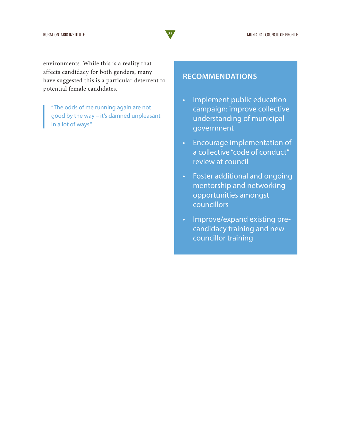environments. While this is a reality that affects candidacy for both genders, many have suggested this is a particular deterrent to potential female candidates.

"The odds of me running again are not good by the way – it's damned unpleasant in a lot of ways."

#### **RECOMMENDATIONS**

- Implement public education campaign: improve collective understanding of municipal government
- Encourage implementation of a collective "code of conduct" review at council
- Foster additional and ongoing mentorship and networking opportunities amongst councillors
- Improve/expand existing precandidacy training and new councillor training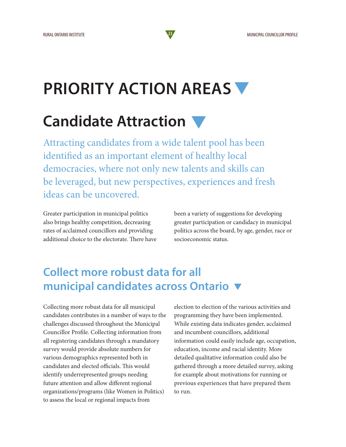### **PRIORITY ACTION AREAS**

### **Candidate Attraction**

Attracting candidates from a wide talent pool has been identified as an important element of healthy local democracies, where not only new talents and skills can be leveraged, but new perspectives, experiences and fresh ideas can be uncovered.

Greater participation in municipal politics also brings healthy competition, decreasing rates of acclaimed councillors and providing additional choice to the electorate. There have been a variety of suggestions for developing greater participation or candidacy in municipal politics across the board, by age, gender, race or socioeconomic status.

### **Collect more robust data for all municipal candidates across Ontario**

Collecting more robust data for all municipal candidates contributes in a number of ways to the challenges discussed throughout the Municipal Councillor Profile. Collecting information from all registering candidates through a mandatory survey would provide absolute numbers for various demographics represented both in candidates and elected officials. This would identify underrepresented groups needing future attention and allow different regional organizations/programs (like Women in Politics) to assess the local or regional impacts from

election to election of the various activities and programming they have been implemented. While existing data indicates gender, acclaimed and incumbent councillors, additional information could easily include age, occupation, education, income and racial identity. More detailed qualitative information could also be gathered through a more detailed survey, asking for example about motivations for running or previous experiences that have prepared them to run.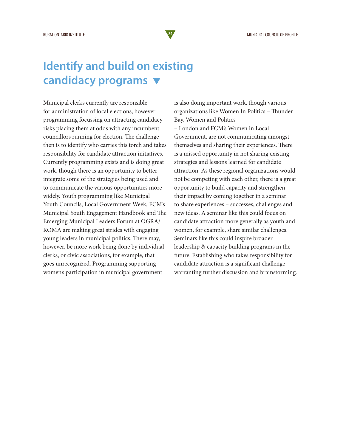### **Identify and build on existing candidacy programs**

Municipal clerks currently are responsible for administration of local elections, however programming focussing on attracting candidacy risks placing them at odds with any incumbent councillors running for election. The challenge then is to identify who carries this torch and takes responsibility for candidate attraction initiatives. Currently programming exists and is doing great work, though there is an opportunity to better integrate some of the strategies being used and to communicate the various opportunities more widely. Youth programming like Municipal Youth Councils, Local Government Week, FCM's Municipal Youth Engagement Handbook and The Emerging Municipal Leaders Forum at OGRA/ ROMA are making great strides with engaging young leaders in municipal politics. There may, however, be more work being done by individual clerks, or civic associations, for example, that goes unrecognized. Programming supporting women's participation in municipal government

is also doing important work, though various organizations like Women In Politics – Thunder Bay, Women and Politics – London and FCM's Women in Local Government, are not communicating amongst themselves and sharing their experiences. There is a missed opportunity in not sharing existing strategies and lessons learned for candidate attraction. As these regional organizations would not be competing with each other, there is a great opportunity to build capacity and strengthen their impact by coming together in a seminar to share experiences – successes, challenges and new ideas. A seminar like this could focus on candidate attraction more generally as youth and women, for example, share similar challenges. Seminars like this could inspire broader leadership & capacity building programs in the future. Establishing who takes responsibility for candidate attraction is a significant challenge warranting further discussion and brainstorming.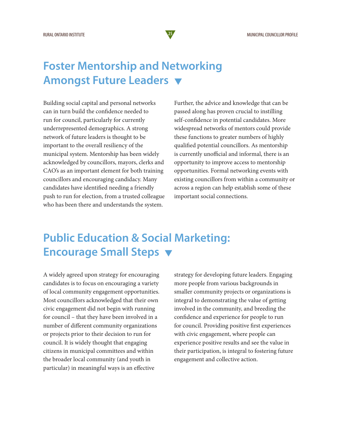#### **Foster Mentorship and Networking Amongst Future Leaders**

Building social capital and personal networks can in turn build the confidence needed to run for council, particularly for currently underrepresented demographics. A strong network of future leaders is thought to be important to the overall resiliency of the municipal system. Mentorship has been widely acknowledged by councillors, mayors, clerks and CAO's as an important element for both training councillors and encouraging candidacy. Many candidates have identified needing a friendly push to run for election, from a trusted colleague who has been there and understands the system.

Further, the advice and knowledge that can be passed along has proven crucial to instilling self-confidence in potential candidates. More widespread networks of mentors could provide these functions to greater numbers of highly qualified potential councillors. As mentorship is currently unofficial and informal, there is an opportunity to improve access to mentorship opportunities. Formal networking events with existing councillors from within a community or across a region can help establish some of these important social connections.

### **Public Education & Social Marketing: Encourage Small Steps**

A widely agreed upon strategy for encouraging candidates is to focus on encouraging a variety of local community engagement opportunities. Most councillors acknowledged that their own civic engagement did not begin with running for council – that they have been involved in a number of different community organizations or projects prior to their decision to run for council. It is widely thought that engaging citizens in municipal committees and within the broader local community (and youth in particular) in meaningful ways is an effective

strategy for developing future leaders. Engaging more people from various backgrounds in smaller community projects or organizations is integral to demonstrating the value of getting involved in the community, and breeding the confidence and experience for people to run for council. Providing positive first experiences with civic engagement, where people can experience positive results and see the value in their participation, is integral to fostering future engagement and collective action.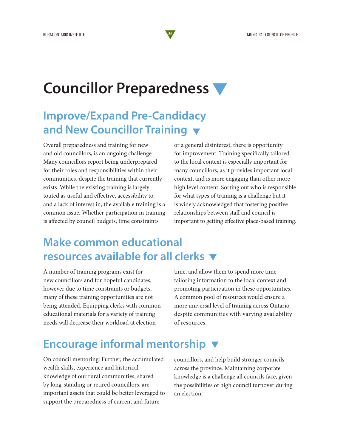### **Councillor Preparedness**

### **Improve/Expand Pre-Candidacy and New Councillor Training**

Overall preparedness and training for new and old councillors, is an ongoing challenge. Many councillors report being underprepared for their roles and responsibilities within their communities, despite the training that currently exists. While the existing training is largely touted as useful and effective, accessibility to, and a lack of interest in, the available training is a common issue. Whether participation in training is affected by council budgets, time constraints

or a general disinterest, there is opportunity for improvement. Training specifically tailored to the local context is especially important for many councillors, as it provides important local context, and is more engaging than other more high level content. Sorting out who is responsible for what types of training is a challenge but it is widely acknowledged that fostering positive relationships between staff and council is important to getting effective place-based training.

### **Make common educational resources available for all clerks**

A number of training programs exist for new councillors and for hopeful candidates, however due to time constraints or budgets, many of these training opportunities are not being attended. Equipping clerks with common educational materials for a variety of training needs will decrease their workload at election

time, and allow them to spend more time tailoring information to the local context and promoting participation in these opportunities. A common pool of resources would ensure a more universal level of training across Ontario, despite communities with varying availability of resources.

### **Encourage informal mentorship**

On council mentoring: Further, the accumulated wealth skills, experience and historical knowledge of our rural communities, shared by long-standing or retired councillors, are important assets that could be better leveraged to support the preparedness of current and future

councillors, and help build stronger councils across the province. Maintaining corporate knowledge is a challenge all councils face, given the possibilities of high council turnover during an election.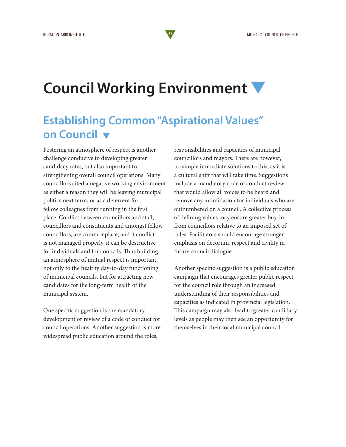### **Council Working Environment**

#### **Establishing Common "Aspirational Values" on Council**

Fostering an atmosphere of respect is another challenge conducive to developing greater candidacy rates, but also important to strengthening overall council operations. Many councillors cited a negative working environment as either a reason they will be leaving municipal politics next term, or as a deterrent for fellow colleagues from running in the first place. Conflict between councillors and staff, councillors and constituents and amongst fellow councillors, are commonplace, and if conflict is not managed properly, it can be destructive for individuals and for councils. Thus building an atmosphere of mutual respect is important, not only to the healthy day-to-day functioning of municipal councils, but for attracting new candidates for the long-term health of the municipal system.

One specific suggestion is the mandatory development or review of a code of conduct for council operations. Another suggestion is more widespread public education around the roles,

responsibilities and capacities of municipal councillors and mayors. There are however, no simple immediate solutions to this, as it is a cultural shift that will take time. Suggestions include a mandatory code of conduct review that would allow all voices to be heard and remove any intimidation for individuals who are outnumbered on a council. A collective process of defining values may ensure greater buy-in from councillors relative to an imposed set of rules. Facilitators should encourage stronger emphasis on decorum, respect and civility in future council dialogue.

Another specific suggestion is a public education campaign that encourages greater public respect for the council role through an increased understanding of their responsibilities and capacities as indicated in provincial legislation. This campaign may also lead to greater candidacy levels as people may then see an opportunity for themselves in their local municipal council.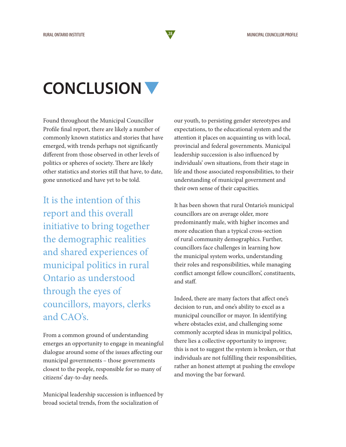### **CONCLUSION**

Found throughout the Municipal Councillor Profile final report, there are likely a number of commonly known statistics and stories that have emerged, with trends perhaps not significantly different from those observed in other levels of politics or spheres of society. There are likely other statistics and stories still that have, to date, gone unnoticed and have yet to be told.

It is the intention of this report and this overall initiative to bring together the demographic realities and shared experiences of municipal politics in rural Ontario as understood through the eyes of councillors, mayors, clerks and CAO's.

From a common ground of understanding emerges an opportunity to engage in meaningful dialogue around some of the issues affecting our municipal governments – those governments closest to the people, responsible for so many of citizens' day-to-day needs.

Municipal leadership succession is influenced by broad societal trends, from the socialization of

our youth, to persisting gender stereotypes and expectations, to the educational system and the attention it places on acquainting us with local, provincial and federal governments. Municipal leadership succession is also influenced by individuals' own situations, from their stage in life and those associated responsibilities, to their understanding of municipal government and their own sense of their capacities.

It has been shown that rural Ontario's municipal councillors are on average older, more predominantly male, with higher incomes and more education than a typical cross-section of rural community demographics. Further, councillors face challenges in learning how the municipal system works, understanding their roles and responsibilities, while managing conflict amongst fellow councillors', constituents, and staff.

Indeed, there are many factors that affect one's decision to run, and one's ability to excel as a municipal councillor or mayor. In identifying where obstacles exist, and challenging some commonly accepted ideas in municipal politics, there lies a collective opportunity to improve; this is not to suggest the system is broken, or that individuals are not fulfilling their responsibilities, rather an honest attempt at pushing the envelope and moving the bar forward.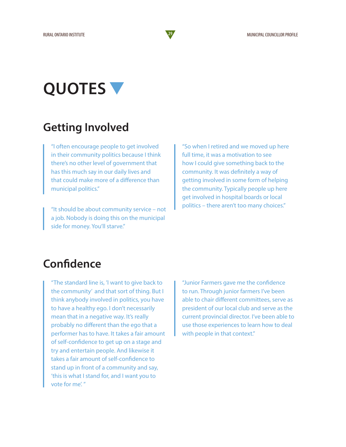### **QUOTES**

### **Getting Involved**

"I often encourage people to get involved in their community politics because I think there's no other level of government that has this much say in our daily lives and that could make more of a difference than municipal politics."

"It should be about community service – not a job. Nobody is doing this on the municipal side for money. You'll starve."

"So when I retired and we moved up here full time, it was a motivation to see how I could give something back to the community. It was definitely a way of getting involved in some form of helping the community. Typically people up here get involved in hospital boards or local politics – there aren't too many choices."

### **Confidence**

"The standard line is, 'I want to give back to the community' and that sort of thing. But I think anybody involved in politics, you have to have a healthy ego. I don't necessarily mean that in a negative way. It's really probably no different than the ego that a performer has to have. It takes a fair amount of self-confidence to get up on a stage and try and entertain people. And likewise it takes a fair amount of self-confidence to stand up in front of a community and say, 'this is what I stand for, and I want you to vote for me'. "

"Junior Farmers gave me the confidence to run. Through junior farmers I've been able to chair different committees, serve as president of our local club and serve as the current provincial director. I've been able to use those experiences to learn how to deal with people in that context."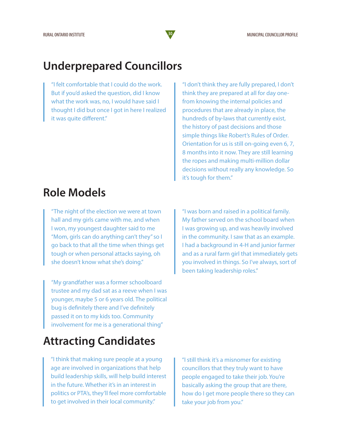#### **Underprepared Councillors**

"I felt comfortable that I could do the work. But if you'd asked the question, did I know what the work was, no, I would have said I thought I did but once I got in here I realized it was quite different."

"I don't think they are fully prepared, I don't think they are prepared at all for day onefrom knowing the internal policies and procedures that are already in place, the hundreds of by-laws that currently exist, the history of past decisions and those simple things like Robert's Rules of Order. Orientation for us is still on-going even 6, 7, 8 months into it now. They are still learning the ropes and making multi-million dollar decisions without really any knowledge. So it's tough for them."

#### **Role Models**

"The night of the election we were at town hall and my girls came with me, and when I won, my youngest daughter said to me "Mom, girls can do anything can't they" so I go back to that all the time when things get tough or when personal attacks saying, oh she doesn't know what she's doing."

"My grandfather was a former schoolboard trustee and my dad sat as a reeve when I was younger, maybe 5 or 6 years old. The political bug is definitely there and I've definitely passed it on to my kids too. Community involvement for me is a generational thing"

"I was born and raised in a political family. My father served on the school board when I was growing up, and was heavily involved in the community. I saw that as an example. I had a background in 4-H and junior farmer and as a rural farm girl that immediately gets you involved in things. So I've always, sort of been taking leadership roles."

#### **Attracting Candidates**

"I think that making sure people at a young age are involved in organizations that help build leadership skills, will help build interest in the future. Whether it's in an interest in politics or PTA's, they'll feel more comfortable to get involved in their local community."

"I still think it's a misnomer for existing councillors that they truly want to have people engaged to take their job. You're basically asking the group that are there, how do I get more people there so they can take your job from you."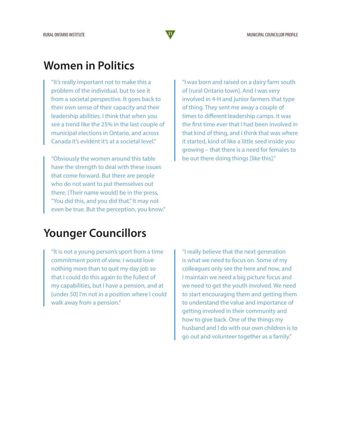#### **Women in Politics**

"It's really important not to make this a problem of the individual, but to see it from a societal perspective. It goes back to their own sense of their capacity and their leadership abilities. I think that when you see a trend like the 25% in the last couple of municipal elections in Ontario, and across Canada it's evident it's at a societal level."

"Obviously the women around this table have the strength to deal with these issues that come forward. But there are people who do not want to put themselves out there. [Their name would] be in the press, "You did this, and you did that." It may not even be true. But the perception, you know." "I was born and raised on a dairy farm south of [rural Ontario town]. And I was very involved in 4-H and junior farmers that type of thing. They sent me away a couple of times to different leadership camps. It was the first time ever that I had been involved in that kind of thing, and I think that was where it started, kind of like a little seed inside you growing – that there is a need for females to be out there doing things [like this]."

#### **Younger Councillors**

"It is not a young person's sport from a time commitment point of view. I would love nothing more than to quit my day job so that I could do this again to the fullest of my capabilities, but I have a pension, and at [under 50] I'm not in a position where I could walk away from a pension."

"I really believe that the next generation is what we need to focus on. Some of my colleagues only see the here and now, and I maintain we need a big picture focus and we need to get the youth involved. We need to start encouraging them and getting them to understand the value and importance of getting involved in their community and how to give back. One of the things my husband and I do with our own children is to go out and volunteer together as a family."